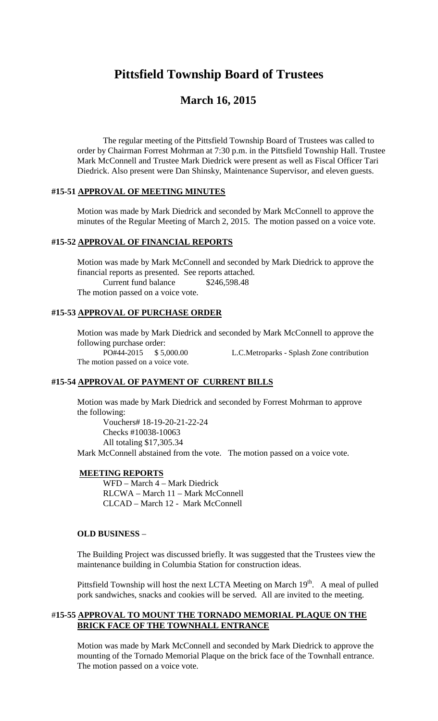# **Pittsfield Township Board of Trustees**

# **March 16, 2015**

The regular meeting of the Pittsfield Township Board of Trustees was called to order by Chairman Forrest Mohrman at 7:30 p.m. in the Pittsfield Township Hall. Trustee Mark McConnell and Trustee Mark Diedrick were present as well as Fiscal Officer Tari Diedrick. Also present were Dan Shinsky, Maintenance Supervisor, and eleven guests.

### **#15-51 APPROVAL OF MEETING MINUTES**

Motion was made by Mark Diedrick and seconded by Mark McConnell to approve the minutes of the Regular Meeting of March 2, 2015. The motion passed on a voice vote.

### **#15-52 APPROVAL OF FINANCIAL REPORTS**

Motion was made by Mark McConnell and seconded by Mark Diedrick to approve the financial reports as presented. See reports attached. Current fund balance \$246,598.48 The motion passed on a voice vote.

#### **#15-53 APPROVAL OF PURCHASE ORDER**

Motion was made by Mark Diedrick and seconded by Mark McConnell to approve the following purchase order: PO#44-2015 \$ 5,000.00 L.C.Metroparks - Splash Zone contribution

The motion passed on a voice vote.

#### **#15-54 APPROVAL OF PAYMENT OF CURRENT BILLS**

Motion was made by Mark Diedrick and seconded by Forrest Mohrman to approve the following:

Vouchers# 18-19-20-21-22-24 Checks #10038-10063 All totaling \$17,305.34 Mark McConnell abstained from the vote. The motion passed on a voice vote.

# **MEETING REPORTS**

WFD – March 4 – Mark Diedrick RLCWA – March 11 – Mark McConnell CLCAD – March 12 - Mark McConnell

# **OLD BUSINESS** –

The Building Project was discussed briefly. It was suggested that the Trustees view the maintenance building in Columbia Station for construction ideas.

Pittsfield Township will host the next LCTA Meeting on March  $19<sup>th</sup>$ . A meal of pulled pork sandwiches, snacks and cookies will be served. All are invited to the meeting.

#### #**15-55 APPROVAL TO MOUNT THE TORNADO MEMORIAL PLAQUE ON THE BRICK FACE OF THE TOWNHALL ENTRANCE**

Motion was made by Mark McConnell and seconded by Mark Diedrick to approve the mounting of the Tornado Memorial Plaque on the brick face of the Townhall entrance. The motion passed on a voice vote.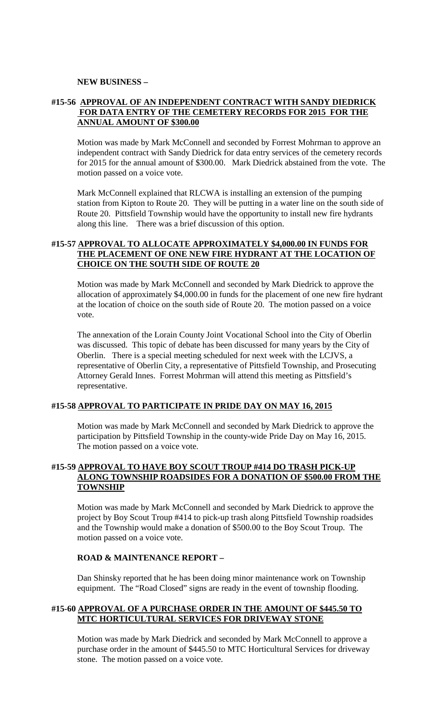#### **NEW BUSINESS –**

# **#15-56 APPROVAL OF AN INDEPENDENT CONTRACT WITH SANDY DIEDRICK FOR DATA ENTRY OF THE CEMETERY RECORDS FOR 2015 FOR THE ANNUAL AMOUNT OF \$300.00**

Motion was made by Mark McConnell and seconded by Forrest Mohrman to approve an independent contract with Sandy Diedrick for data entry services of the cemetery records for 2015 for the annual amount of \$300.00. Mark Diedrick abstained from the vote. The motion passed on a voice vote.

Mark McConnell explained that RLCWA is installing an extension of the pumping station from Kipton to Route 20. They will be putting in a water line on the south side of Route 20. Pittsfield Township would have the opportunity to install new fire hydrants along this line. There was a brief discussion of this option.

# **#15-57 APPROVAL TO ALLOCATE APPROXIMATELY \$4,000.00 IN FUNDS FOR THE PLACEMENT OF ONE NEW FIRE HYDRANT AT THE LOCATION OF CHOICE ON THE SOUTH SIDE OF ROUTE 20**

Motion was made by Mark McConnell and seconded by Mark Diedrick to approve the allocation of approximately \$4,000.00 in funds for the placement of one new fire hydrant at the location of choice on the south side of Route 20. The motion passed on a voice vote.

The annexation of the Lorain County Joint Vocational School into the City of Oberlin was discussed. This topic of debate has been discussed for many years by the City of Oberlin. There is a special meeting scheduled for next week with the LCJVS, a representative of Oberlin City, a representative of Pittsfield Township, and Prosecuting Attorney Gerald Innes. Forrest Mohrman will attend this meeting as Pittsfield's representative.

# **#15-58 APPROVAL TO PARTICIPATE IN PRIDE DAY ON MAY 16, 2015**

Motion was made by Mark McConnell and seconded by Mark Diedrick to approve the participation by Pittsfield Township in the county-wide Pride Day on May 16, 2015. The motion passed on a voice vote.

# **#15-59 APPROVAL TO HAVE BOY SCOUT TROUP #414 DO TRASH PICK-UP ALONG TOWNSHIP ROADSIDES FOR A DONATION OF \$500.00 FROM THE TOWNSHIP**

Motion was made by Mark McConnell and seconded by Mark Diedrick to approve the project by Boy Scout Troup #414 to pick-up trash along Pittsfield Township roadsides and the Township would make a donation of \$500.00 to the Boy Scout Troup. The motion passed on a voice vote.

#### **ROAD & MAINTENANCE REPORT –**

Dan Shinsky reported that he has been doing minor maintenance work on Township equipment. The "Road Closed" signs are ready in the event of township flooding.

# **#15-60 APPROVAL OF A PURCHASE ORDER IN THE AMOUNT OF \$445.50 TO MTC HORTICULTURAL SERVICES FOR DRIVEWAY STONE**

Motion was made by Mark Diedrick and seconded by Mark McConnell to approve a purchase order in the amount of \$445.50 to MTC Horticultural Services for driveway stone. The motion passed on a voice vote.